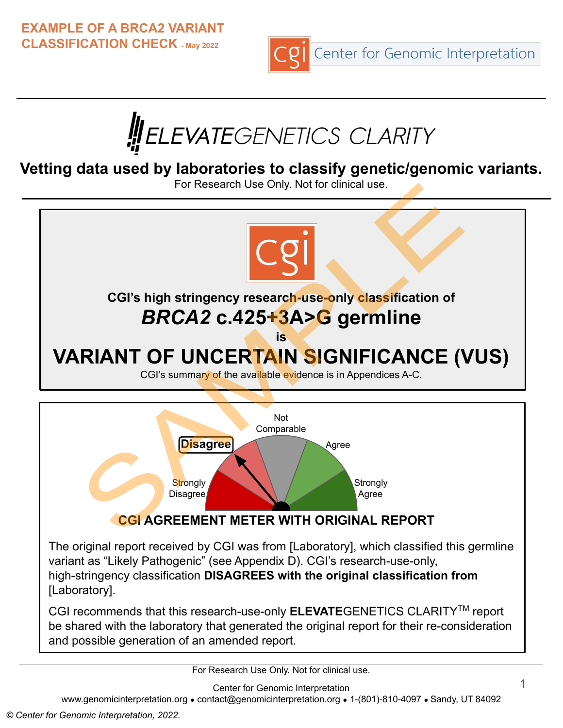**EXAMPLE OF A BRCA2 VARIANT CLASSIFICATION CHECK - May 2022**





**Vetting data used by laboratories to classify genetic/genomic variants.**

For Research Use Only. Not for clinical use.



For Research Use Only. Not for clinical use.

Center for Genomic Interpretation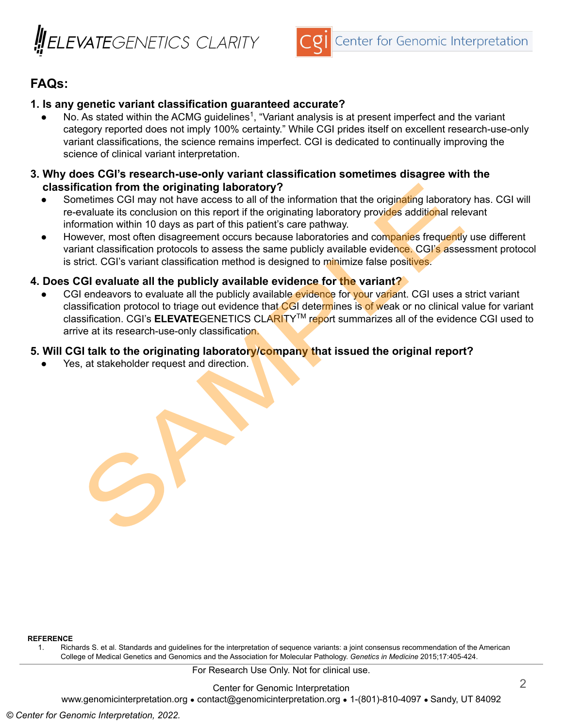



#### **FAQs:**

#### **1. Is any genetic variant classification guaranteed accurate?**

 $\bullet$  No. As stated within the ACMG guidelines<sup>1</sup>, "Variant analysis is at present imperfect and the variant category reported does not imply 100% certainty." While CGI prides itself on excellent research-use-only variant classifications, the science remains imperfect. CGI is dedicated to continually improving the science of clinical variant interpretation.

#### **3. Why does CGI's research-use-only variant classification sometimes disagree with the classification from the originating laboratory?**

- Sometimes CGI may not have access to all of the information that the originating laboratory has. CGI will re-evaluate its conclusion on this report if the originating laboratory provides additional relevant information within 10 days as part of this patient's care pathway.
- However, most often disagreement occurs because laboratories and companies frequently use different variant classification protocols to assess the same publicly available evidence. CGI's assessment protocol is strict. CGI's variant classification method is designed to minimize false positives.

#### **4. Does CGI evaluate all the publicly available evidence for the variant?**

CGI endeavors to evaluate all the publicly available evidence for your variant. CGI uses a strict variant classification protocol to triage out evidence that CGI determines is of weak or no clinical value for variant classification. CGI's **ELEVATE**GENETICS CLARITYTM report summarizes all of the evidence CGI used to arrive at its research-use-only classification.

#### **5. Will CGI talk to the originating laboratory/company that issued the original report?**

Yes, at stakeholder request and direction.

**REFERENCE**

1. Richards S. et al. Standards and guidelines for the interpretation of sequence variants: a joint consensus recommendation of the American College of Medical Genetics and Genomics and the Association for Molecular Pathology. *Genetics in Medicine* 2015;17:405-424.

For Research Use Only. Not for clinical use.

Center for Genomic Interpretation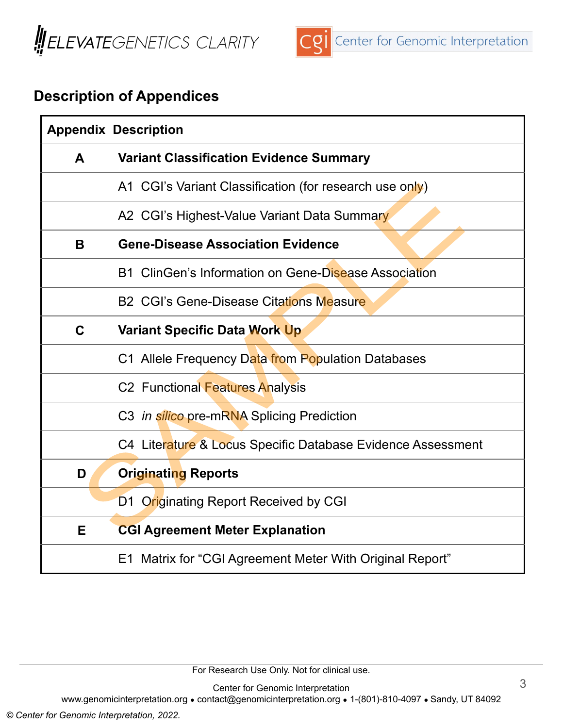



# **Description of Appendices**

| <b>Appendix Description</b> |                                                             |  |  |  |  |  |
|-----------------------------|-------------------------------------------------------------|--|--|--|--|--|
| A                           | <b>Variant Classification Evidence Summary</b>              |  |  |  |  |  |
|                             | A1 CGI's Variant Classification (for research use only)     |  |  |  |  |  |
|                             | A2 CGI's Highest-Value Variant Data Summary                 |  |  |  |  |  |
| B                           | <b>Gene-Disease Association Evidence</b>                    |  |  |  |  |  |
|                             | B1 ClinGen's Information on Gene-Disease Association        |  |  |  |  |  |
|                             | <b>B2 CGI's Gene-Disease Citations Measure</b>              |  |  |  |  |  |
| C                           | <b>Variant Specific Data Work Up</b>                        |  |  |  |  |  |
|                             | C1 Allele Frequency Data from Population Databases          |  |  |  |  |  |
|                             | C2 Functional Features Analysis                             |  |  |  |  |  |
|                             | C3 in silico pre-mRNA Splicing Prediction                   |  |  |  |  |  |
|                             | C4 Literature & Locus Specific Database Evidence Assessment |  |  |  |  |  |
| D                           | <b>Originating Reports</b>                                  |  |  |  |  |  |
|                             | D1 Originating Report Received by CGI                       |  |  |  |  |  |
| Е                           | <b>CGI Agreement Meter Explanation</b>                      |  |  |  |  |  |
|                             | E1 Matrix for "CGI Agreement Meter With Original Report"    |  |  |  |  |  |

For Research Use Only. Not for clinical use.

Center for Genomic Interpretation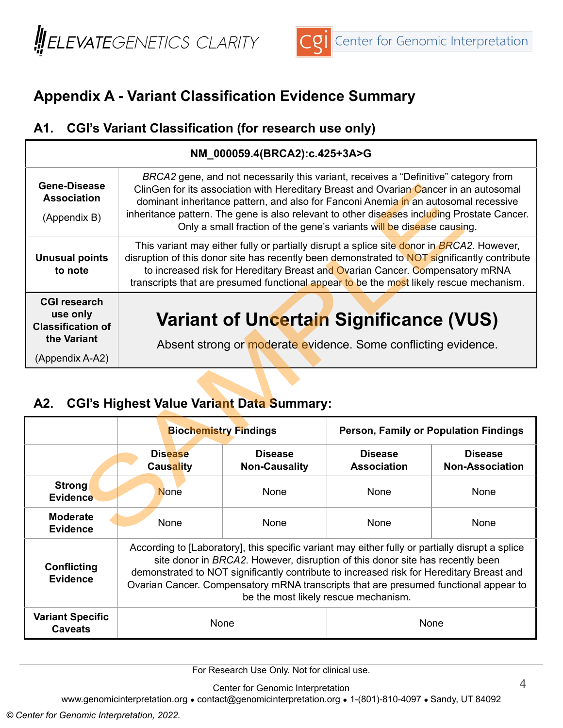



# **Appendix A - Variant Classification Evidence Summary**

### **A1. CGI's Variant Classification (for research use only)**

| NM 000059.4(BRCA2):c.425+3A>G                                                                 |                                                                                                                                                                                                                                                                                                                                                                                                                                             |  |  |  |  |
|-----------------------------------------------------------------------------------------------|---------------------------------------------------------------------------------------------------------------------------------------------------------------------------------------------------------------------------------------------------------------------------------------------------------------------------------------------------------------------------------------------------------------------------------------------|--|--|--|--|
| <b>Gene-Disease</b><br><b>Association</b><br>(Appendix B)                                     | BRCA2 gene, and not necessarily this variant, receives a "Definitive" category from<br>ClinGen for its association with Hereditary Breast and Ovarian Cancer in an autosomal<br>dominant inheritance pattern, and also for Fanconi Anemia in an autosomal recessive<br>inheritance pattern. The gene is also relevant to other diseases including Prostate Cancer.<br>Only a small fraction of the gene's variants will be disease causing. |  |  |  |  |
| <b>Unusual points</b><br>to note                                                              | This variant may either fully or partially disrupt a splice site donor in BRCA2. However,<br>disruption of this donor site has recently been demonstrated to NOT significantly contribute<br>to increased risk for Hereditary Breast and Ovarian Cancer. Compensatory mRNA<br>transcripts that are presumed functional appear to be the most likely rescue mechanism.                                                                       |  |  |  |  |
| <b>CGI research</b><br>use only<br><b>Classification of</b><br>the Variant<br>(Appendix A-A2) | <b>Variant of Uncertain Significance (VUS)</b><br>Absent strong or moderate evidence. Some conflicting evidence.                                                                                                                                                                                                                                                                                                                            |  |  |  |  |

# **A2. CGI's Highest Value Variant Data Summary:**

|                                           |                                                                                                                                                                                                                                                                                                                                                                                                              | <b>Biochemistry Findings</b>           | Person, Family or Population Findings |                                          |  |
|-------------------------------------------|--------------------------------------------------------------------------------------------------------------------------------------------------------------------------------------------------------------------------------------------------------------------------------------------------------------------------------------------------------------------------------------------------------------|----------------------------------------|---------------------------------------|------------------------------------------|--|
|                                           | <b>Disease</b><br><b>Causality</b>                                                                                                                                                                                                                                                                                                                                                                           | <b>Disease</b><br><b>Non-Causality</b> | <b>Disease</b><br><b>Association</b>  | <b>Disease</b><br><b>Non-Association</b> |  |
| Strong<br><b>Evidence</b>                 | <b>None</b>                                                                                                                                                                                                                                                                                                                                                                                                  | <b>None</b>                            | None                                  | None                                     |  |
| <b>Moderate</b><br><b>Evidence</b>        | <b>None</b>                                                                                                                                                                                                                                                                                                                                                                                                  | <b>None</b>                            | <b>None</b>                           | None                                     |  |
| Conflicting<br><b>Evidence</b>            | According to [Laboratory], this specific variant may either fully or partially disrupt a splice<br>site donor in BRCA2. However, disruption of this donor site has recently been<br>demonstrated to NOT significantly contribute to increased risk for Hereditary Breast and<br>Ovarian Cancer. Compensatory mRNA transcripts that are presumed functional appear to<br>be the most likely rescue mechanism. |                                        |                                       |                                          |  |
| <b>Variant Specific</b><br><b>Caveats</b> |                                                                                                                                                                                                                                                                                                                                                                                                              | None                                   | None                                  |                                          |  |

For Research Use Only. Not for clinical use.

Center for Genomic Interpretation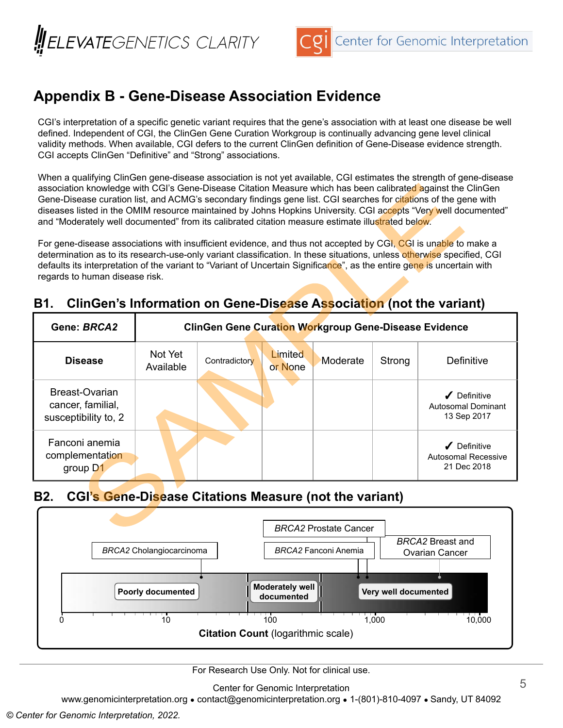



## **Appendix B - Gene-Disease Association Evidence**

CGI's interpretation of a specific genetic variant requires that the gene's association with at least one disease be well defined. Independent of CGI, the ClinGen Gene Curation Workgroup is continually advancing gene level clinical validity methods. When available, CGI defers to the current ClinGen definition of Gene-Disease evidence strength. CGI accepts ClinGen "Definitive" and "Strong" associations.

When a qualifying ClinGen gene-disease association is not yet available, CGI estimates the strength of gene-disease association knowledge with CGI's Gene-Disease Citation Measure which has been calibrated against the ClinGen Gene-Disease curation list, and ACMG's secondary findings gene list. CGI searches for citations of the gene with diseases listed in the OMIM resource maintained by Johns Hopkins University. CGI accepts "Very well documented" and "Moderately well documented" from its calibrated citation measure estimate illustrated below.

For gene-disease associations with insufficient evidence, and thus not accepted by CGI, CGI is unable to make a determination as to its research-use-only variant classification. In these situations, unless otherwise specified, CGI defaults its interpretation of the variant to "Variant of Uncertain Significance", as the entire gene is uncertain with regards to human disease risk.

| Gene: BRCA2                                                 | <b>ClinGen Gene Curation Workgroup Gene-Disease Evidence</b> |               |                           |          |        |                                                         |  |  |
|-------------------------------------------------------------|--------------------------------------------------------------|---------------|---------------------------|----------|--------|---------------------------------------------------------|--|--|
| <b>Disease</b>                                              | Not Yet<br>Available                                         | Contradictory | <b>Limited</b><br>or None | Moderate | Strong | Definitive                                              |  |  |
| Breast-Ovarian<br>cancer, familial,<br>susceptibility to, 2 |                                                              |               |                           |          |        | Definitive<br><b>Autosomal Dominant</b><br>13 Sep 2017  |  |  |
| Fanconi anemia<br>complementation<br>group D1               |                                                              |               |                           |          |        | Definitive<br><b>Autosomal Recessive</b><br>21 Dec 2018 |  |  |

#### **B1. ClinGen's Information on Gene-Disease Association (not the variant)**

### **B2. CGI's Gene-Disease Citations Measure (not the variant)**



For Research Use Only. Not for clinical use.

Center for Genomic Interpretation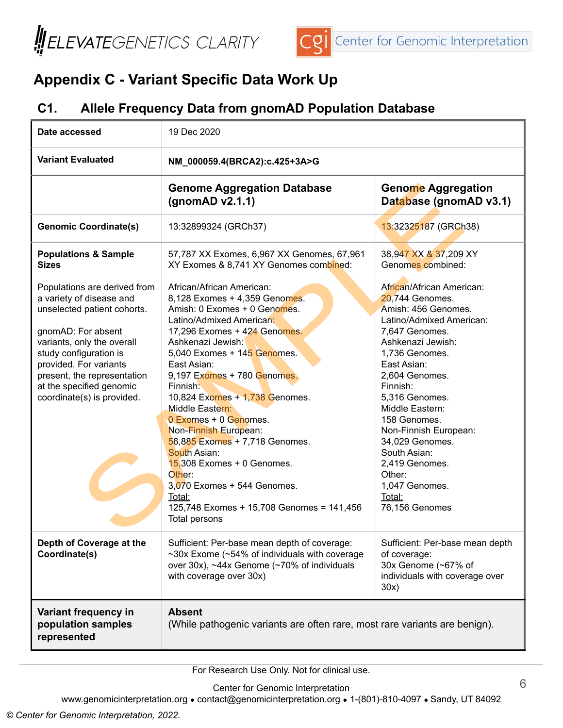



# **Appendix C - Variant Specific Data Work Up**

#### **C1. Allele Frequency Data from gnomAD Population Database**

| Date accessed                                                                                                                                                                                                                                                                                                                               | 19 Dec 2020                                                                                                                                                                                                                                                                                                                                                                                                                                                                                                                                                                                      |                                                                                                                                                                                                                                                                                                                                                                                                  |  |  |  |
|---------------------------------------------------------------------------------------------------------------------------------------------------------------------------------------------------------------------------------------------------------------------------------------------------------------------------------------------|--------------------------------------------------------------------------------------------------------------------------------------------------------------------------------------------------------------------------------------------------------------------------------------------------------------------------------------------------------------------------------------------------------------------------------------------------------------------------------------------------------------------------------------------------------------------------------------------------|--------------------------------------------------------------------------------------------------------------------------------------------------------------------------------------------------------------------------------------------------------------------------------------------------------------------------------------------------------------------------------------------------|--|--|--|
| <b>Variant Evaluated</b>                                                                                                                                                                                                                                                                                                                    | NM_000059.4(BRCA2):c.425+3A>G                                                                                                                                                                                                                                                                                                                                                                                                                                                                                                                                                                    |                                                                                                                                                                                                                                                                                                                                                                                                  |  |  |  |
|                                                                                                                                                                                                                                                                                                                                             | <b>Genome Aggregation Database</b><br>(gnomAD v2.1.1)                                                                                                                                                                                                                                                                                                                                                                                                                                                                                                                                            | <b>Genome Aggregation</b><br>Database (gnomAD v3.1)                                                                                                                                                                                                                                                                                                                                              |  |  |  |
| <b>Genomic Coordinate(s)</b>                                                                                                                                                                                                                                                                                                                | 13:32899324 (GRCh37)                                                                                                                                                                                                                                                                                                                                                                                                                                                                                                                                                                             | 13:32325187 (GRCh38)                                                                                                                                                                                                                                                                                                                                                                             |  |  |  |
| <b>Populations &amp; Sample</b><br><b>Sizes</b><br>Populations are derived from<br>a variety of disease and<br>unselected patient cohorts.<br>gnomAD: For absent<br>variants, only the overall<br>study configuration is<br>provided. For variants<br>present, the representation<br>at the specified genomic<br>coordinate(s) is provided. | 57,787 XX Exomes, 6,967 XX Genomes, 67,961<br>XY Exomes & 8,741 XY Genomes combined:<br>African/African American:<br>8,128 Exomes + 4,359 Genomes.<br>Amish: 0 Exomes + 0 Genomes.<br>Latino/Admixed American:<br>17,296 Exomes + 424 Genomes.<br>Ashkenazi Jewish:<br>5,040 Exomes + 145 Genomes.<br>East Asian:<br>9,197 Exomes + 780 Genomes.<br>Finnish:<br>10,824 Exomes + 1,738 Genomes.<br>Middle Eastern:<br>0 Exomes + 0 Genomes.<br>Non-Finnish European:<br>56,885 Exomes + 7,718 Genomes.<br>South Asian:<br>$15,308$ Exomes + 0 Genomes.<br>Other:<br>$3,070$ Exomes + 544 Genomes. | 38,947 XX & 37,209 XY<br>Genomes combined:<br>African/African American:<br>20,744 Genomes.<br>Amish: 456 Genomes.<br>Latino/Admixed American:<br>7,647 Genomes.<br>Ashkenazi Jewish:<br>1,736 Genomes.<br>East Asian:<br>2,604 Genomes.<br>Finnish:<br>5,316 Genomes.<br>Middle Eastern:<br>158 Genomes.<br>Non-Finnish European:<br>34,029 Genomes.<br>South Asian:<br>2,419 Genomes.<br>Other: |  |  |  |
|                                                                                                                                                                                                                                                                                                                                             | Total:<br>125,748 Exomes + 15,708 Genomes = 141,456<br><b>Total persons</b>                                                                                                                                                                                                                                                                                                                                                                                                                                                                                                                      | Total:<br>76,156 Genomes                                                                                                                                                                                                                                                                                                                                                                         |  |  |  |
| Depth of Coverage at the<br>Coordinate(s)                                                                                                                                                                                                                                                                                                   | Sufficient: Per-base mean depth of coverage:<br>~30x Exome (~54% of individuals with coverage<br>over 30x), ~44x Genome (~70% of individuals<br>with coverage over 30x)                                                                                                                                                                                                                                                                                                                                                                                                                          | Sufficient: Per-base mean depth<br>of coverage:<br>30x Genome (~67% of<br>individuals with coverage over<br>30x)                                                                                                                                                                                                                                                                                 |  |  |  |
| Variant frequency in<br>population samples<br>represented                                                                                                                                                                                                                                                                                   | <b>Absent</b><br>(While pathogenic variants are often rare, most rare variants are benign).                                                                                                                                                                                                                                                                                                                                                                                                                                                                                                      |                                                                                                                                                                                                                                                                                                                                                                                                  |  |  |  |

For Research Use Only. Not for clinical use.

Center for Genomic Interpretation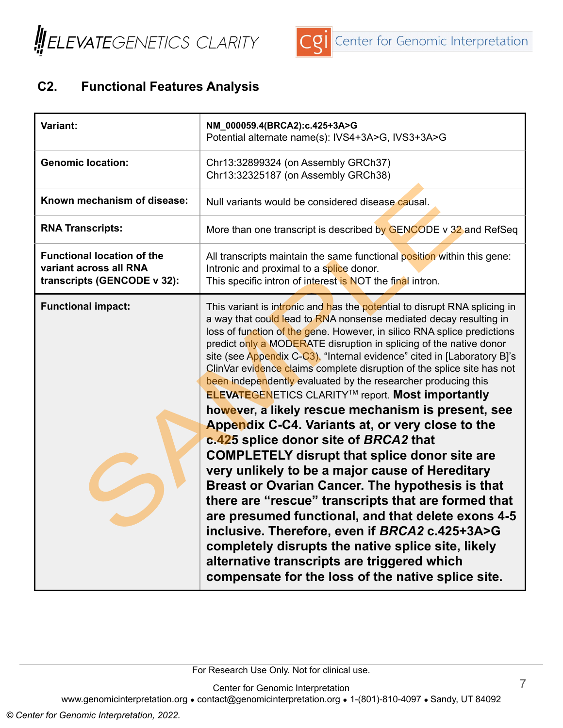



## **C2. Functional Features Analysis**

| Variant:                                                                                   | NM_000059.4(BRCA2):c.425+3A>G<br>Potential alternate name(s): IVS4+3A>G, IVS3+3A>G                                                                                                                                                                                                                                                                                                                                                                                                                                                                                                                                                                                                                                                                                                                                                                                                                                                                                                                                                                                                                                                                                                                                                       |  |  |  |
|--------------------------------------------------------------------------------------------|------------------------------------------------------------------------------------------------------------------------------------------------------------------------------------------------------------------------------------------------------------------------------------------------------------------------------------------------------------------------------------------------------------------------------------------------------------------------------------------------------------------------------------------------------------------------------------------------------------------------------------------------------------------------------------------------------------------------------------------------------------------------------------------------------------------------------------------------------------------------------------------------------------------------------------------------------------------------------------------------------------------------------------------------------------------------------------------------------------------------------------------------------------------------------------------------------------------------------------------|--|--|--|
| <b>Genomic location:</b>                                                                   | Chr13:32899324 (on Assembly GRCh37)<br>Chr13:32325187 (on Assembly GRCh38)                                                                                                                                                                                                                                                                                                                                                                                                                                                                                                                                                                                                                                                                                                                                                                                                                                                                                                                                                                                                                                                                                                                                                               |  |  |  |
| Known mechanism of disease:                                                                | Null variants would be considered disease causal.                                                                                                                                                                                                                                                                                                                                                                                                                                                                                                                                                                                                                                                                                                                                                                                                                                                                                                                                                                                                                                                                                                                                                                                        |  |  |  |
| <b>RNA Transcripts:</b>                                                                    | More than one transcript is described by GENCODE v 32 and RefSeq                                                                                                                                                                                                                                                                                                                                                                                                                                                                                                                                                                                                                                                                                                                                                                                                                                                                                                                                                                                                                                                                                                                                                                         |  |  |  |
| <b>Functional location of the</b><br>variant across all RNA<br>transcripts (GENCODE v 32): | All transcripts maintain the same functional position within this gene:<br>Intronic and proximal to a splice donor.<br>This specific intron of interest is NOT the final intron.                                                                                                                                                                                                                                                                                                                                                                                                                                                                                                                                                                                                                                                                                                                                                                                                                                                                                                                                                                                                                                                         |  |  |  |
| <b>Functional impact:</b>                                                                  | This variant is intronic and has the potential to disrupt RNA splicing in<br>a way that could lead to RNA nonsense mediated decay resulting in<br>loss of function of the gene. However, in silico RNA splice predictions<br>predict only a MODERATE disruption in splicing of the native donor<br>site (see Appendix C-C3). "Internal evidence" cited in [Laboratory B]'s<br>ClinVar evidence claims complete disruption of the splice site has not<br>been independently evaluated by the researcher producing this<br><b>ELEVATEGENETICS CLARITY<sup>™</sup> report. Most importantly</b><br>however, a likely rescue mechanism is present, see<br>Appendix C-C4. Variants at, or very close to the<br>c.425 splice donor site of BRCA2 that<br><b>COMPLETELY disrupt that splice donor site are</b><br>very unlikely to be a major cause of Hereditary<br>Breast or Ovarian Cancer. The hypothesis is that<br>there are "rescue" transcripts that are formed that<br>are presumed functional, and that delete exons 4-5<br>inclusive. Therefore, even if BRCA2 c.425+3A>G<br>completely disrupts the native splice site, likely<br>alternative transcripts are triggered which<br>compensate for the loss of the native splice site. |  |  |  |

Center for Genomic Interpretation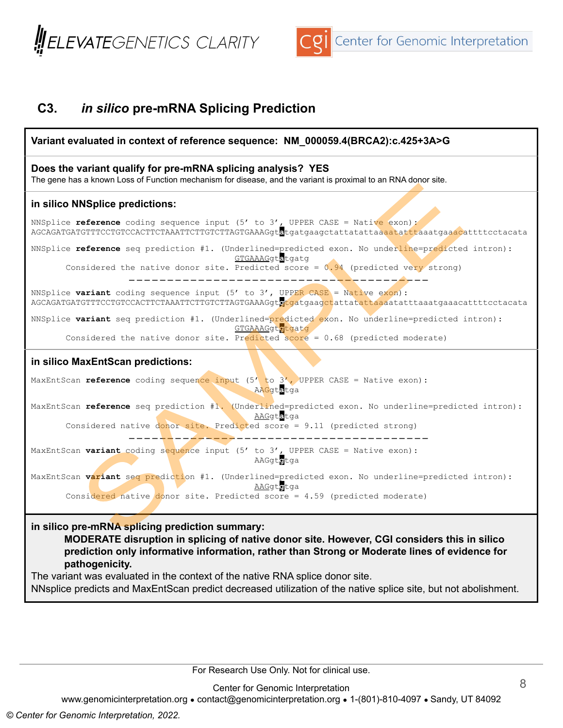



### **C3.** *in silico* **pre-mRNA Splicing Prediction**



For Research Use Only. Not for clinical use.

Center for Genomic Interpretation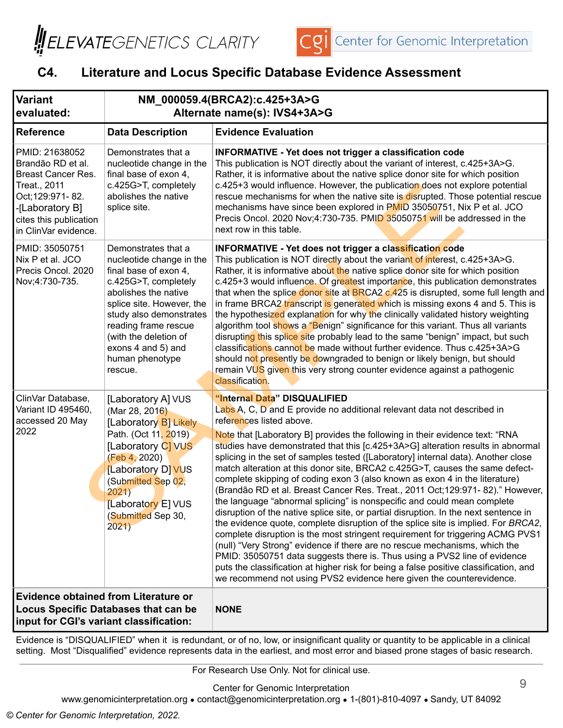



### **C4. Literature and Locus Specific Database Evidence Assessment**

| <b>Variant</b><br>evaluated:                                                                                                                                              | NM_000059.4(BRCA2):c.425+3A>G<br>Alternate name(s): IVS4+3A>G                                                                                                                                                                                                                         |                                                                                                                                                                                                                                                                                                                                                                                                                                                                                                                                                                                                                                                                                                                                                                                                                                                                                                                                                                                                                                                                                                                                                                                                                                                                                                                    |  |  |
|---------------------------------------------------------------------------------------------------------------------------------------------------------------------------|---------------------------------------------------------------------------------------------------------------------------------------------------------------------------------------------------------------------------------------------------------------------------------------|--------------------------------------------------------------------------------------------------------------------------------------------------------------------------------------------------------------------------------------------------------------------------------------------------------------------------------------------------------------------------------------------------------------------------------------------------------------------------------------------------------------------------------------------------------------------------------------------------------------------------------------------------------------------------------------------------------------------------------------------------------------------------------------------------------------------------------------------------------------------------------------------------------------------------------------------------------------------------------------------------------------------------------------------------------------------------------------------------------------------------------------------------------------------------------------------------------------------------------------------------------------------------------------------------------------------|--|--|
| <b>Reference</b>                                                                                                                                                          | <b>Data Description</b>                                                                                                                                                                                                                                                               | <b>Evidence Evaluation</b>                                                                                                                                                                                                                                                                                                                                                                                                                                                                                                                                                                                                                                                                                                                                                                                                                                                                                                                                                                                                                                                                                                                                                                                                                                                                                         |  |  |
| PMID: 21638052<br>Brandão RD et al.<br><b>Breast Cancer Res.</b><br>Treat., 2011<br>Oct; 129:971-82.<br>-[Laboratory B]<br>cites this publication<br>in ClinVar evidence. | Demonstrates that a<br>nucleotide change in the<br>final base of exon 4,<br>c.425G>T, completely<br>abolishes the native<br>splice site.                                                                                                                                              | <b>INFORMATIVE - Yet does not trigger a classification code</b><br>This publication is NOT directly about the variant of interest, c.425+3A>G.<br>Rather, it is informative about the native splice donor site for which position<br>c.425+3 would influence. However, the publication does not explore potential<br>rescue mechanisms for when the native site is disrupted. Those potential rescue<br>mechanisms have since been explored in PMID 35050751, Nix P et al. JCO<br>Precis Oncol. 2020 Nov;4:730-735. PMID 35050751 will be addressed in the<br>next row in this table.                                                                                                                                                                                                                                                                                                                                                                                                                                                                                                                                                                                                                                                                                                                              |  |  |
| PMID: 35050751<br>Nix P et al. JCO<br>Precis Oncol. 2020<br>Nov;4:730-735.                                                                                                | Demonstrates that a<br>nucleotide change in the<br>final base of exon 4,<br>c.425G>T, completely<br>abolishes the native<br>splice site. However, the<br>study also demonstrates<br>reading frame rescue<br>(with the deletion of<br>exons 4 and 5) and<br>human phenotype<br>rescue. | INFORMATIVE - Yet does not trigger a classification code<br>This publication is NOT directly about the variant of interest, c.425+3A>G.<br>Rather, it is informative about the native splice donor site for which position<br>c.425+3 would influence. Of greatest importance, this publication demonstrates<br>that when the splice donor site at BRCA2 c.425 is disrupted, some full length and<br>in frame BRCA2 transcript is generated which is missing exons 4 and 5. This is<br>the hypothesized explanation for why the clinically validated history weighting<br>algorithm tool shows a "Benign" significance for this variant. Thus all variants<br>disrupting this splice site probably lead to the same "benign" impact, but such<br>classifications cannot be made without further evidence. Thus c.425+3A>G<br>should not presently be downgraded to benign or likely benign, but should<br>remain VUS given this very strong counter evidence against a pathogenic<br>classification.                                                                                                                                                                                                                                                                                                               |  |  |
| ClinVar Database,<br>Variant ID 495460,<br>accessed 20 May<br>2022                                                                                                        | [Laboratory A] VUS<br>(Mar 28, 2016)<br>[Laboratory B] Likely<br>Path. (Oct 11, 2019)<br>[Laboratory C] VUS<br>(Feb 4, 2020)<br>[Laboratory D] VUS<br>(Submitted Sep 02,<br>2021)<br>[Laboratory E] VUS<br>(Submitted Sep 30,<br>2021)                                                | "Internal Data" DISQUALIFIED<br>Labs A, C, D and E provide no additional relevant data not described in<br>references listed above.<br>Note that [Laboratory B] provides the following in their evidence text: "RNA<br>studies have demonstrated that this [c.425+3A>G] alteration results in abnormal<br>splicing in the set of samples tested ([Laboratory] internal data). Another close<br>match alteration at this donor site, BRCA2 c.425G>T, causes the same defect-<br>complete skipping of coding exon 3 (also known as exon 4 in the literature)<br>(Brandão RD et al. Breast Cancer Res. Treat., 2011 Oct; 129:971-82)." However,<br>the language "abnormal splicing" is nonspecific and could mean complete<br>disruption of the native splice site, or partial disruption. In the next sentence in<br>the evidence quote, complete disruption of the splice site is implied. For BRCA2,<br>complete disruption is the most stringent requirement for triggering ACMG PVS1<br>(null) "Very Strong" evidence if there are no rescue mechanisms, which the<br>PMID: 35050751 data suggests there is. Thus using a PVS2 line of evidence<br>puts the classification at higher risk for being a false positive classification, and<br>we recommend not using PVS2 evidence here given the counterevidence. |  |  |
| <b>Evidence obtained from Literature or</b><br><b>Locus Specific Databases that can be</b><br>input for CGI's variant classification:                                     |                                                                                                                                                                                                                                                                                       | <b>NONE</b>                                                                                                                                                                                                                                                                                                                                                                                                                                                                                                                                                                                                                                                                                                                                                                                                                                                                                                                                                                                                                                                                                                                                                                                                                                                                                                        |  |  |

Evidence is "DISQUALIFIED" when it is redundant, or of no, low, or insignificant quality or quantity to be applicable in a clinical setting. Most "Disqualified" evidence represents data in the earliest, and most error and biased prone stages of basic research.

For Research Use Only. Not for clinical use.

Center for Genomic Interpretation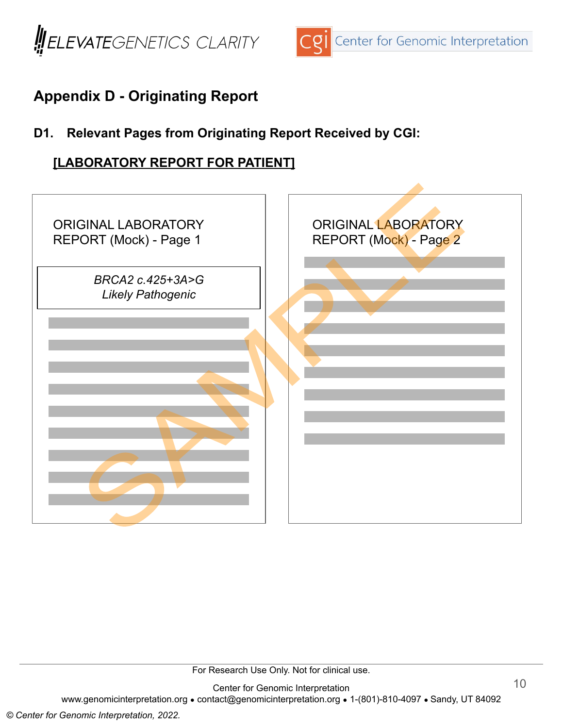



# **Appendix D - Originating Report**

## **D1. Relevant Pages from Originating Report Received by CGI:**

### **[LABORATORY REPORT FOR PATIENT]**



For Research Use Only. Not for clinical use.

Center for Genomic Interpretation www.genomicinterpretation.org ● contact@genomicinterpretation.org ● 1-(801)-810-4097 ● Sandy, UT 84092